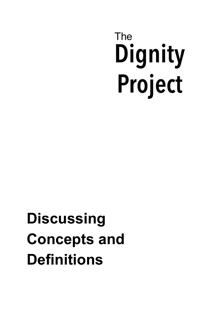# The Dignity Project

## **Discussing Concepts and Definitions**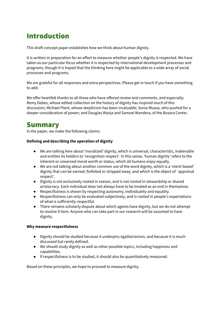## Introduction

This draft concept paper establishes how we think about human dignity.

It is written in preparation for an effort to measure whether people's dignity is respected. We have taken as our particular focus whether it is respected by international development processes and programs, though it is hoped that the thinking here might be applicable to a wide array of social processes and programs.

We are grateful for all responses and extra perspectives. Please get in touch if you have something to add.

We offer heartfelt thanks to all those who have offered review and comments, and especially: Remy Debes, whose edited collection on the history of dignity has inspired much of this discussion; Michael Plant, whose skepticism has been invaluable; Sonia Muasa, who pushed for a deeper consideration of power; and Douglas Wanja and Samuel Wandera, of the Busara Center.

## <span id="page-1-0"></span>Summary

In the paper, we make the following claims:

#### **Defining and describing the operation of dignity**

- We are talking here about 'moralized' dignity, which is universal, characteristic, inalienable and entitles its holders to 'recognition respect'. In this sense, 'human dignity' refers to the inherent or unearned moral worth or status, which all humans enjoy equally.
- We are not talking about another common use of the word dignity, which is a 'merit-based' dignity that can be earned, forfeited or stripped away, and which is the object of 'appraisal respect'.
- Dignity is not exclusively rooted in reason, and is not rooted in stewardship or shared aristocracy. Each individual does not always have to be treated as an end in themselves.
- Respectfulness is shown by respecting autonomy, individuality and equality.
- Respectfulness can only be evaluated subjectively, and is rooted in people's expectations of what is sufficiently respectful.
- There remains scholarly dispute about which agents have dignity, but we do not attempt to resolve it here. Anyone who can take part in our research will be assumed to have dignity.

#### **Why measure respectfulness**

- Dignity should be studied because it underpins egalitarianism, and because it is much discussed but rarely defined.
- We should study dignity as well as other possible topics, including happiness and capabilities.
- If respectfulness is to be studied, it should also be quantitatively measured.

Based on these principles, we hope to proceed to measure dignity.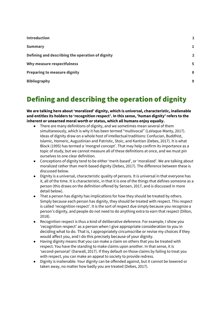| <b>Introduction</b>                              |                |
|--------------------------------------------------|----------------|
| <b>Summary</b>                                   | 1              |
| Defining and describing the operation of dignity | $\overline{2}$ |
| Why measure respectfulness                       | 5              |
| <b>Preparing to measure dignity</b>              | 8              |
| <b>Bibliography</b>                              | 9              |

## <span id="page-2-0"></span>Defining and describing the operation of dignity

**We are talking here about 'moralized' dignity, which is universal, characteristic, inalienable and entitles its holders to 'recognition respect'. In this sense, 'human dignity' refers to the inherent or unearned moral worth or status, which all humans enjoy equally.**

- There are many definitions of dignity, and we sometimes mean several of them simultaneously, which is why it has been termed "multivocal" (LaVaque-Manty, 2017). Ideas of dignity draw on a whole host of intellectual traditions: Confucian, Buddhist, Islamic, Homeric, Augustinian and Patristic, Stoic, and Kantian (Debes, 2017). It is what Block (1995) has termed a 'mongrel concept'. That may help confirm its importance as a topic of study, but we cannot measure all of these definitions at once, and we must pin ourselves to one clear definition.
- Conceptions of dignity tend to be either 'merit-based', or 'moralized'. We are talking about moralized rather than merit-based dignity (Debes, 2017). The difference between these is discussed below.
- Dignity is a universal, characteristic quality of persons. It is universal in that everyone has it, all of the time. It is characteristic, in that it is one of the things that defines someone as a person (this draws on the definition offered by Sensen, 2017, and is discussed in more detail below).
- That a person has dignity has implications for how they should be treated by others. Simply because each person has dignity, they should be treated with respect. This respect is called 'recognition respect'. It is the sort of respect due simply because you recognize a person's dignity, and people do not need to do anything extra to earn that respect (Dillon, 2018).
- Recognition respect is thus a kind of deliberative deference. For example, I show you 'recognition respect' as a person when I give appropriate consideration to you in deciding what to do. That is, I appropriately circumscribe or revise my choices if they would affect you, and I do this precisely because of your dignity.
- Having dignity means that you can make a claim on others that you be treated with respect. You have the standing to make claims upon another. In that sense, it is 'second-personal' (Darwall, 2017). If they default on those claims by failing to treat you with respect, you can make an appeal to society to provide redress.
- Dignity is inalienable. Your dignity can be offended against, but it cannot be lowered or taken away, no matter how badly you are treated (Debes, 2017).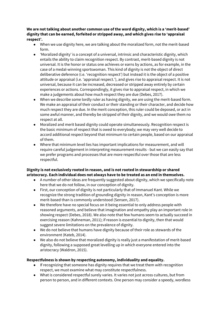**We are not talking about another common use of the word dignity, which is a 'merit-based' dignity that can be earned, forfeited or stripped away, and which gives rise to 'appraisal respect'.**

- When we use dignity here, we are talking about the moralized form, not the merit-based form.
- 'Moralized dignity' is a concept of a universal, intrinsic and characteristic dignity, which entails the ability to claim recognition respect. By contrast, merit-based dignity is not universal. It is the honor or status one achieves or earns by actions, as for example, in the case of a medal-winning sportswoman. This kind of dignity is not the object of direct deliberative deference (i.e. 'recognition respect') but instead it is the object of a positive attitude or appraisal (i.e. 'appraisal respect.'), and gives rise to appraisal respect. It is not universal, because it can be increased, decreased or stripped away entirely by certain experiences or actions. Correspondingly, it gives rise to appraisal respect, in which we make a judgements about how much respect they are due (Debes, 2017).
- When we describe some lordly ruler as having dignity, we are using the merit-based form. We make an appraisal of their conduct or their standing or their character, and decide how much respect they are due. In the merit conception, this ruler could be deposed, or act in some awful manner, and thereby be stripped of their dignity, and we would owe them no respect at all.
- Moralized and merit based dignity could operate simultaneously. Recognition respect is the basic minimum of respect that is owed to everybody; we may very well decide to accord additional respect beyond that minimum to certain people, based on our appraisal of them.
- Where that minimum level lies has important implications for measurement, and will require careful judgement in interpreting measurement results - but we can easily say that we prefer programs and processes that are more respectful over those that are less respectful.

#### **Dignity is not exclusively rooted in reason, and is not rooted in stewardship or shared aristocracy. Each individual does not always have to be treated as an end in themselves.**

- A number of other ideas are frequently suggested about dignity, which we specifically note here that we do not follow, in our conception of dignity.
- First, our conception of dignity is not particularly that of Immanuel Kant. While we recognize the strong tradition of grounding dignity in reason, Kant's conception is more merit-based than is commonly understood (Sensen, 2017).
- We therefore have no special focus on it being essential to only address people with reasoned arguments, and believe that imagination and empathy play an important role in showing respect (Debes, 2018). We also note that few humans seem to actually succeed in exercising reason (Kahneman, 2011); if reason is essential to dignity, then that would suggest severe limitations on the prevalence of dignity.
- We do not believe that humans have dignity because of their role as stewards of the environment (Kateb, 2014).
- We also do not believe that moralized dignity is really just a manifestation of merit-based dignity, following a supposed great levelling up in which everyone entered into the aristocracy (Waldron, 2015).

#### **Respectfulness is shown by respecting autonomy, individuality and equality.**

- If recognizing that someone has dignity requires that we treat them with recognition respect, we must examine what may constitute respectfulness.
- What is considered respectful surely varies. It varies not just across cultures, but from person to person, and in different contexts. One person may consider a speedy, wordless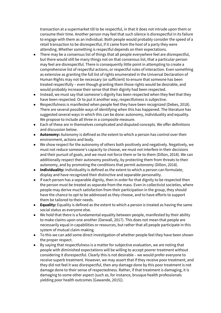transaction at a supermarket till to be respectful, in that it does not intrude upon them or consume their time. Another person may feel that such silence is disrespectful in its failure to engage with them as an individual. Both people would probably consider the speed of a retail transaction to be disrespectful, if it came from the host of a party they were attending. Whether something is respectful depends on their expectations.

- There may be a consensus list of things that all people everywhere feel are disrespectful, but there would still be many things not on that consensus list, that a particular person may feel are disrespectful. There is consequently little point in attempting to create a comprehensive list of respectful actions, or respectful rules of interaction. Even something as extensive as granting the full list of rights enumerated in the Universal Declaration of Human Rights may not be necessary (or sufficient) to ensure that someone has been treated respectfully – even though granting them those rights would be desirable, and would probably increase their sense that their dignity had been respected.
- Instead, we must say that someone's dignity has been respected when they feel that they have been respected. Or to put it another way, respectfulness is subjective.
- Respectfulness is manifested when people feel they have been recognized (Debes, 2018). There are several possible ways of identifying when this has happened. The literature has suggested several ways in which this can be done: autonomy, individuality and equality. We propose to include all three in a composite measure.
- Each of these are in themselves complicated and disputed concepts. We offer definitions and discussion below.
- **Autonomy:** Autonomy is defined as the extent to which a person has control over their environment, actions and body.
- We show respect for the autonomy of others both positively and negatively. Negatively, we must not reduce someone's capacity to choose, we must not interfere in their decisions and their pursuit of goals, and we must not force them or lie to them (Dillon, 2018). We can additionally respect their autonomy positively, by protecting them from threats to their autonomy, and by promoting the conditions that permit autonomy (Dillon, 2018).
- **Individuality:** Individuality is defined as the extent to which a person can formulate, display and have recognized their distinctive and separable personality.
- If each person has a separable dignity, then in order for that dignity to be respected then the person must be treated as separate from the mass. Even in collectivist societies, where people may derive much satisfaction from their participation in the group, they should have the chance to opt to be addressed as they choose, and to have efforts to support them be tailored to their needs.
- **Equality:** Equality is defined as the extent to which a person is treated as having the same social status as everyone else.
- We hold that there is a fundamental equality between people, manifested by their ability to make claims upon one another (Darwall, 2017). This does not mean that people are necessarily equal in capabilities or resources, but rather that all people participate in this system of mutual claim-making.
- To this we can add some direct investigation of whether people feel they have been shown the proper respect.
- By saying that respectfulness is a matter for subjective evaluation, we are noting that people with diminished expectations will be willing to accept poorer treatment without considering it disrespectful. Clearly this is not desirable – we would prefer everyone to receive superb treatment. However, we may assert that if they receive poor treatment, and they did not feel it was disrespectful, then any damage done by this poor treatment is not damage done to their sense of respectedness. Rather, if that treatment is damaging, it is damaging to some other aspect (such as, for instance, brusque health professionals yielding poor health outcomes [Gawande, 2015]).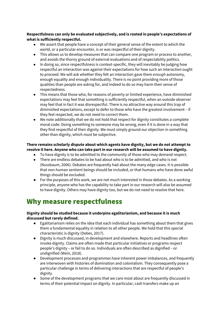#### **Respectfulness can only be evaluated subjectively, and is rooted in people's expectations of what is sufficiently respectful.**

- We assert that people have a concept of their general sense of the extent to which the world, or a particular encounter, is or was respectful of their dignity.
- This allows us to develop measures that can compare one program or process to another, and avoids the thorny ground of external evaluations and of respectability politics.
- In doing so, since respectfulness is context-specific, they will inevitably be judging how respectful an interaction was against their expectations for how such an interaction ought to proceed. We will ask whether they felt an interaction gave them *enough* autonomy, enough equality and enough individuality. There is no point providing more of those qualities than people are asking for, and indeed to do so may harm their sense of respectedness.
- This means that those who, for reasons of poverty or limited experience, have diminished expectations may feel that something is sufficiently respectful, when an outside observer may feel that in fact it was disrespectful. There is no attractive way around this trap of diminished expectations, except to defer to those who have the greatest involvement – if they feel respected, we do not need to correct them.
- We note additionally that we do not hold that respect for dignity constitutes a complete moral code. Doing something to someone may be wrong, even if it is done in a way that they find respectful of their dignity. We must simply ground our objection in something other than dignity, which must be subjective.

#### **There remains scholarly dispute about which agents have dignity, but we do not attempt to resolve it here. Anyone who can take part in our research will be assumed to have dignity.**

- To have dignity is to be admitted to the community of those who may demand respect.
- There are endless debates to be had about who is to be admitted, and who is not (Nussbaum, 2006). Debates are frequently had about the many edge cases. It is possible that non-human sentient beings should be included, or that humans who have done awful things should be excluded.
- For the purposes of this work, we are not much interested in those debates. As a working principle, anyone who has the capability to take part in our research will also be assumed to have dignity. Others may have dignity too, but we do not need to resolve that here.

### <span id="page-5-0"></span>Why measure respectfulness

#### **Dignity should be studied because it underpins egalitarianism, and because it is much discussed but rarely defined.**

- **●** Egalitarianism relies on the idea that each individual has something about them that gives them a fundamental equality in relation to all other people. We hold that this special characteristic is dignity (Debes, 2017).
- **●** Dignity is much discussed, in development and elsewhere. Reports and headlines often invoke dignity. Claims are often made that particular initiatives or programs respect people's dignity – or fail to do so. Individuals are often described as dignified – or undignified (Wein, 2018).
- **●** Development processes and programmes have inherent power imbalances, and frequently are interwoven with histories of domination and colonialism. They consequently pose a particular challenge in terms of delivering interactions that are respectful of people's dignity.
- Some of the development programs that we care most about are frequently discussed in terms of their potential impact on dignity. In particular, cash transfers make up an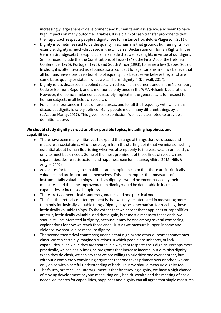increasingly large share of development and humanitarian assistance, and seem to have high impacts on many outcome variables. It is a claim of cash transfer proponents that their approach respects people's dignity (see for instance Hochfeld & Plagerson, 2011).

- **●** Dignity is sometimes said to be the quality in all humans that grounds human rights. For example, dignity is much-discussed in the Universal Declaration on Human Rights. In the German Grundgesetz the explicit claim is made that we have rights in virtue of our dignity. Similar uses include the the Constitutions of India (1949), the Final Act of the Helsinki Conference (1975), Portugal (1976), and South Africa (1993), to name a few (Debes, 2009). In short, it is often treated as a foundational concept for egalitarianism – if we believe that all humans have a basic relationship of equality, it is because we believe they all share some basic quality or status - what we call here "dignity." (Darwall, 2017).
- **●** Dignity is less discussed in applied research ethics it is not mentioned in the Nuremburg Code or Belmont Report, and is mentioned only once in the WMA Helsinki Declaration. However, it or some similar concept is surely implicit in the general calls for respect for human subjects in all fields of research.
- **●** For all its importance in these different areas, and for all the frequency with which it is discussed, dignity is rarely defined. Many people mean many different things by it (LaVaque-Manty, 2017). This gives rise to confusion. We have attempted to provide a definition above.

#### **We should study dignity as well as other possible topics, including happiness and capabilities.**

- **●** There have been many initiatives to expand the range of things that we discuss and measure as social aims. All of these begin from the starting point that we miss something essential about human flourishing when we attempt only to increase wealth or health, or only to meet basic needs. Some of the most prominent of these lines of research are capabilities, desire satisfaction, and happiness (see for instance, Alkire, 2015; Hills & Argyle, 2002).
- **●** Advocates for focusing on capabilities and happiness claim that these are intrinsically valuable, and are important in themselves. This claim implies that measures of instrumentally valuable things – such as dignity – would be encompassed by their measures, and that any improvement in dignity would be detectable in increased capabilities or increased happiness.
- **●** There are two theoretical counterarguments, and one practical one.
- **●** The first theoretical counterargument is that we may be interested in measuring more than only intrinsically valuable things. Dignity may be a mechanism for reaching those intrinsically valuable things. To the extent that we accept that happiness or capabilities are truly intrinsically valuable, and that dignity is at most a means to those ends, we should still be interested in dignity, because it may be one among several competing explanations for how we reach those ends. Just as we measure hunger, income and violence, we should also measure dignity.
- **●** The second theoretical counterargument is that dignity and other outcomes sometimes clash. We can certainly imagine situations in which people are unhappy, or lack capabilities, even while they are treated in a way that respects their dignity. Perhaps more practically, we can easily imagine programs that increase income, but diminish dignity. When they do clash, we can say that we are willing to prioritize one over another, but without a completely convincing argument that one takes primacy over another, we can only do so with a careful understanding of both. Thus we should measure dignity too.
- The fourth, practical, counterargument is that by studying dignity, we have a high chance of moving development beyond measuring only health, wealth and the meeting of basic needs. Advocates for capabilities, happiness and dignity can all agree that single measures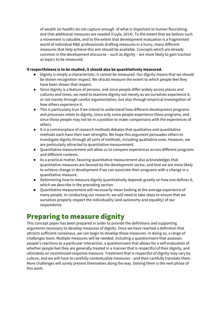of wealth (or health) do not capture enough of what is important to human flourishing, and that additional measures are needed (Coyle, 2014). To the extent that we believe such a movement is valuable, and to the extent that development evaluation is a fragmented world of individual M&E professionals drafting measures in a hurry, many different measures that help achieve this aim should be available. Concepts which are already common in the development discourse – such as dignity – are more likely to gain traction as topics to be measured.

#### **If respectfulness is to be studied, it should also be quantitatively measured.**

- **●** Dignity is simply a characteristic; it cannot be measured. Our dignity means that we should be shown recognition respect. We should measure the extent to which people feel they have been shown that respect.
- **●** Since dignity is a feature of persons, and since people differ widely across places and cultures and times, we need to examine dignity not merely as we ourselves experience it, or not merely through careful argumentation, but also through empirical investigation of how others experience it.
- **●** This is particularly true if we intend to understand how different development programs and processes relate to dignity, since only some people experience those programs, and since those people may not be in a position to make comparisons with the experiences of others.
- **●** It is a commonplace of research methods debates that qualitative and quantitative methods each have their own strengths. We hope this argument persuades others to investigate dignity through all sorts of methods, including qualitative ones. However, we are particularly attracted to quantitative measurement.
- **●** Quantitative measurement will allow us to compare experiences across different programs and different contexts.
- **●** As a practical matter, favoring quantitative measurement also acknowledges that quantitative measures are favored by the development sector, and that we are more likely to achieve change in development if we can associate their programs with a change in a quantitative measure.
- Determining how to measure dignity quantitatively depends greatly on how one defines it, which we describe in the preceding section.
- Quantitative measurement will necessarily mean looking at the average experience of many people. In conducting our research, we will need to take steps to ensure that we ourselves properly respect the individuality (and autonomy and equality) of our respondents.

## <span id="page-7-0"></span>Preparing to measure dignity

This concept paper has been prepared in order to provide the definitions and supporting arguments necessary to develop measures of dignity. Once we have reached a definition that attracts sufficient consensus, we can begin to develop those measures. In doing so, a range of challenges loom. Multiple measures will be needed, including a questionnaire that assesses people's reactions to a particular interaction, a questionnaire that allows for a self-evaluation of whether people feel they are generally treated in a manner that is respectful of their dignity, and ultimately an incentivized-response measure. Treatment that is respectful of dignity may vary by culture, and we will have to carefully contextualize measures – and then carefully translate them. More challenges will surely present themselves along the way. Solving them is the next phase of this work.